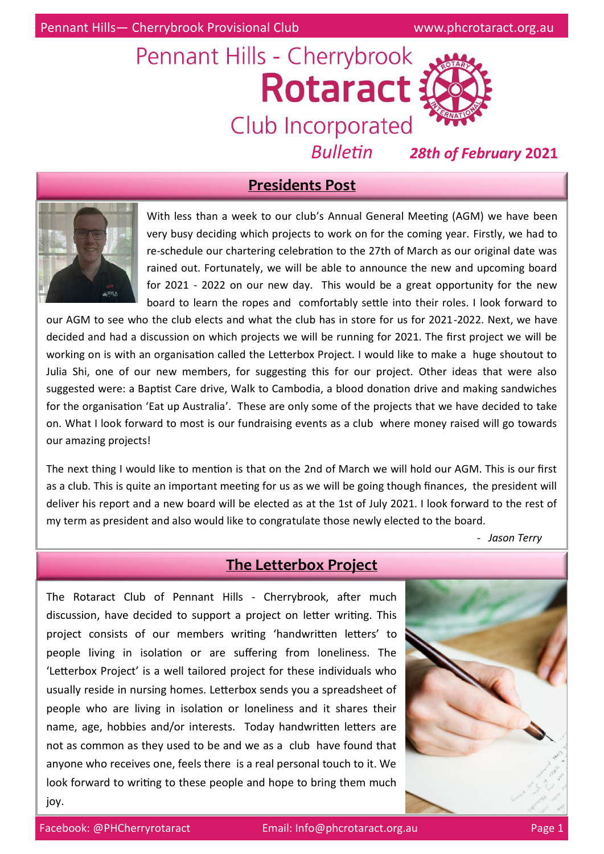# Pennant Hills - Cherrybrook **Rotaract 3** Club Incorporated



*Bulletin 28th of February* **2021**

## **Presidents Post**



With less than a week to our club's Annual General Meeting (AGM) we have been very busy deciding which projects to work on for the coming year. Firstly, we had to re-schedule our chartering celebration to the 27th of March as our original date was rained out. Fortunately, we will be able to announce the new and upcoming board for 2021 - 2022 on our new day. This would be a great opportunity for the new board to learn the ropes and comfortably settle into their roles. I look forward to

our AGM to see who the club elects and what the club has in store for us for 2021-2022. Next, we have decided and had a discussion on which projects we will be running for 2021. The first project we will be working on is with an organisation called the Letterbox Project. I would like to make a huge shoutout to Julia Shi, one of our new members, for suggesting this for our project. Other ideas that were also suggested were: a Baptist Care drive, Walk to Cambodia, a blood donation drive and making sandwiches for the organisation 'Eat up Australia'. These are only some of the projects that we have decided to take on. What I look forward to most is our fundraising events as a club where money raised will go towards our amazing projects!

The next thing I would like to mention is that on the 2nd of March we will hold our AGM. This is our first as a club. This is quite an important meeting for us as we will be going though finances, the president will deliver his report and a new board will be elected as at the 1st of July 2021. I look forward to the rest of my term as president and also would like to congratulate those newly elected to the board.

*- Jason Terry*

# **The Letterbox Project**

The Rotaract Club of Pennant Hills - Cherrybrook, after much discussion, have decided to support a project on letter writing. This project consists of our members writing 'handwritten letters' to people living in isolation or are suffering from loneliness. The 'Letterbox Project' is a well tailored project for these individuals who usually reside in nursing homes. Letterbox sends you a spreadsheet of people who are living in isolation or loneliness and it shares their name, age, hobbies and/or interests. Today handwritten letters are not as common as they used to be and we as a club have found that anyone who receives one, feels there is a real personal touch to it. We look forward to writing to these people and hope to bring them much joy.